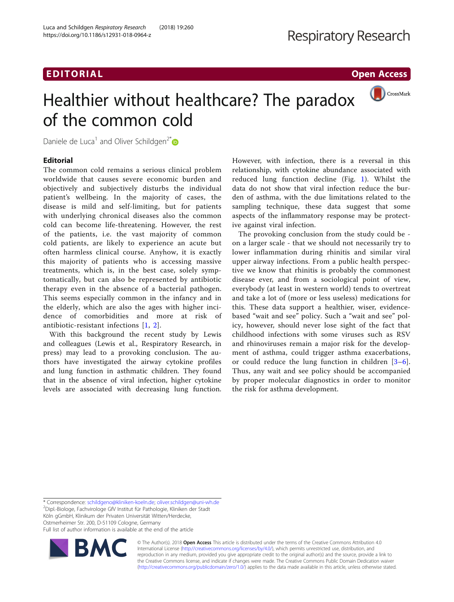## EDITORIAL AND INTERNATIONAL CONTRACT CONTRACT OF THE CONTRACT OF THE CONTRACT OF THE CONTRACT OF THE CONTRACT O

(Bullet) CrossMark

# Healthier without healthcare? The paradox of the common cold

Daniele de Luca<sup>1</sup> and Oliver Schildgen<sup>2[\\*](http://orcid.org/0000-0003-4297-9627)</sup>

## **Editorial**

The common cold remains a serious clinical problem worldwide that causes severe economic burden and objectively and subjectively disturbs the individual patient's wellbeing. In the majority of cases, the disease is mild and self-limiting, but for patients with underlying chronical diseases also the common cold can become life-threatening. However, the rest of the patients, i.e. the vast majority of common cold patients, are likely to experience an acute but often harmless clinical course. Anyhow, it is exactly this majority of patients who is accessing massive treatments, which is, in the best case, solely symptomatically, but can also be represented by antibiotic therapy even in the absence of a bacterial pathogen. This seems especially common in the infancy and in the elderly, which are also the ages with higher incidence of comorbidities and more at risk of antibiotic-resistant infections [[1,](#page-1-0) [2](#page-1-0)].

With this background the recent study by Lewis and colleagues (Lewis et al., Respiratory Research, in press) may lead to a provoking conclusion. The authors have investigated the airway cytokine profiles and lung function in asthmatic children. They found that in the absence of viral infection, higher cytokine levels are associated with decreasing lung function. However, with infection, there is a reversal in this relationship, with cytokine abundance associated with reduced lung function decline (Fig. [1](#page-1-0)). Whilst the data do not show that viral infection reduce the burden of asthma, with the due limitations related to the sampling technique, these data suggest that some aspects of the inflammatory response may be protective against viral infection.

The provoking conclusion from the study could be on a larger scale - that we should not necessarily try to lower inflammation during rhinitis and similar viral upper airway infections. From a public health perspective we know that rhinitis is probably the commonest disease ever, and from a sociological point of view, everybody (at least in western world) tends to overtreat and take a lot of (more or less useless) medications for this. These data support a healthier, wiser, evidencebased "wait and see" policy. Such a "wait and see" policy, however, should never lose sight of the fact that childhood infections with some viruses such as RSV and rhinoviruses remain a major risk for the development of asthma, could trigger asthma exacerbations, or could reduce the lung function in children [[3](#page-1-0)–[6](#page-1-0)]. Thus, any wait and see policy should be accompanied by proper molecular diagnostics in order to monitor the risk for asthma development.

\* Correspondence: [schildgeno@kliniken-koeln.de;](mailto:schildgeno@kliniken-koeln.de) [oliver.schildgen@uni-wh.de](mailto:oliver.schildgen@uni-wh.de) <sup>2</sup>

<sup>2</sup>Dipl.-Biologe, Fachvirologe GfV Institut für Pathologie, Kliniken der Stadt Köln gGmbH, Klinikum der Privaten Universität Witten/Herdecke, Ostmerheimer Str. 200, D-51109 Cologne, Germany

Full list of author information is available at the end of the article



© The Author(s). 2018 Open Access This article is distributed under the terms of the Creative Commons Attribution 4.0 International License [\(http://creativecommons.org/licenses/by/4.0/](http://creativecommons.org/licenses/by/4.0/)), which permits unrestricted use, distribution, and reproduction in any medium, provided you give appropriate credit to the original author(s) and the source, provide a link to the Creative Commons license, and indicate if changes were made. The Creative Commons Public Domain Dedication waiver [\(http://creativecommons.org/publicdomain/zero/1.0/](http://creativecommons.org/publicdomain/zero/1.0/)) applies to the data made available in this article, unless otherwise stated.